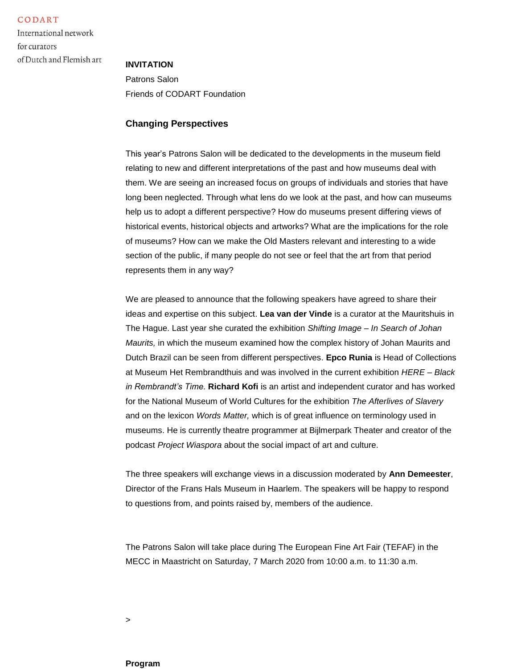CODART

International network for curators of Dutch and Flemish art

## **INVITATION**

Patrons Salon Friends of CODART Foundation

## **Changing Perspectives**

This year's Patrons Salon will be dedicated to the developments in the museum field relating to new and different interpretations of the past and how museums deal with them. We are seeing an increased focus on groups of individuals and stories that have long been neglected. Through what lens do we look at the past, and how can museums help us to adopt a different perspective? How do museums present differing views of historical events, historical objects and artworks? What are the implications for the role of museums? How can we make the Old Masters relevant and interesting to a wide section of the public, if many people do not see or feel that the art from that period represents them in any way?

We are pleased to announce that the following speakers have agreed to share their ideas and expertise on this subject. **Lea van der Vinde** is a curator at the Mauritshuis in The Hague. Last year she curated the exhibition *Shifting Image – In Search of Johan Maurits,* in which the museum examined how the complex history of Johan Maurits and Dutch Brazil can be seen from different perspectives. **Epco Runia** is Head of Collections at Museum Het Rembrandthuis and was involved in the current exhibition *HERE – Black in Rembrandt's Time.* **Richard Kofi** is an artist and independent curator and has worked for the National Museum of World Cultures for the exhibition *The Afterlives of Slavery*  and on the lexicon *Words Matter,* which is of great influence on terminology used in museums. He is currently theatre programmer at Bijlmerpark Theater and creator of the podcast *Project Wiaspora* about the social impact of art and culture.

The three speakers will exchange views in a discussion moderated by **Ann Demeester**, Director of the Frans Hals Museum in Haarlem. The speakers will be happy to respond to questions from, and points raised by, members of the audience.

The Patrons Salon will take place during The European Fine Art Fair (TEFAF) in the MECC in Maastricht on Saturday, 7 March 2020 from 10:00 a.m. to 11:30 a.m.